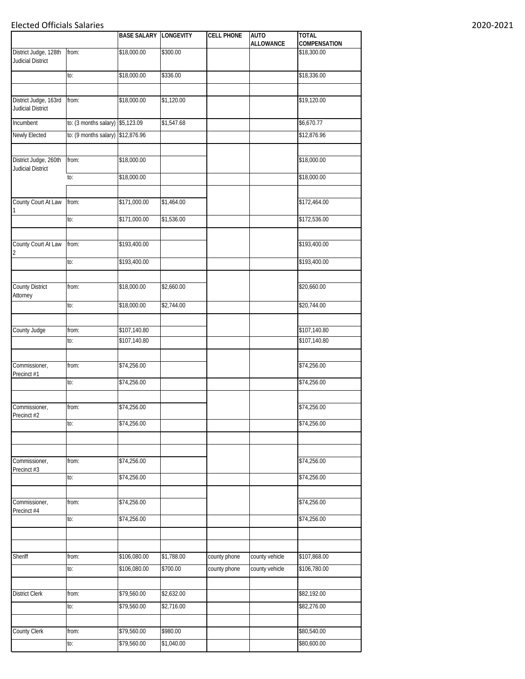## Elected Officials Salaries 2020-2021

|                                                   |                       | <b>BASE SALARY LONGEVITY</b> |                        | <b>CELL PHONE</b> | <b>AUTO</b><br><b>ALLOWANCE</b> | <b>TOTAL</b><br>COMPENSATION |
|---------------------------------------------------|-----------------------|------------------------------|------------------------|-------------------|---------------------------------|------------------------------|
| District Judge, 128th<br>Judicial District        | from:                 | \$18,000.00                  | \$300.00               |                   |                                 | \$18,300.00                  |
|                                                   | to:                   | \$18,000.00                  | \$336.00               |                   |                                 | \$18,336.00                  |
|                                                   |                       |                              |                        |                   |                                 |                              |
| District Judge, 163rd<br>Judicial District        | from:                 | \$18,000.00                  | \$1,120.00             |                   |                                 | \$19,120.00                  |
| Incumbent                                         | to: (3 months salary) | \$5,123.09                   | $\overline{$1,547.68}$ |                   |                                 | \$6,670.77                   |
| Newly Elected                                     | to: (9 months salary) | \$12,876.96                  |                        |                   |                                 | \$12,876.96                  |
|                                                   |                       |                              |                        |                   |                                 |                              |
| District Judge, 260th<br><b>Judicial District</b> | from:                 | \$18,000.00                  |                        |                   |                                 | \$18,000.00                  |
|                                                   | to:                   | \$18,000.00                  |                        |                   |                                 | \$18,000.00                  |
| County Court At Law                               | from:                 | \$171,000.00                 | \$1,464.00             |                   |                                 | \$172,464.00                 |
|                                                   | to:                   | \$171,000.00                 | \$1,536.00             |                   |                                 | \$172,536.00                 |
| County Court At Law<br>2                          | from:                 | \$193,400.00                 |                        |                   |                                 | \$193,400.00                 |
|                                                   | to:                   | \$193,400.00                 |                        |                   |                                 | \$193,400.00                 |
|                                                   |                       |                              |                        |                   |                                 |                              |
| <b>County District</b><br>Attorney                | from:                 | \$18,000.00                  | \$2,660.00             |                   |                                 | \$20,660.00                  |
|                                                   | to:                   | \$18,000.00                  | \$2,744.00             |                   |                                 | \$20,744.00                  |
| County Judge                                      | from:                 | \$107,140.80                 |                        |                   |                                 | \$107,140.80                 |
|                                                   | to:                   | \$107,140.80                 |                        |                   |                                 | \$107,140.80                 |
|                                                   |                       |                              |                        |                   |                                 |                              |
| Commissioner,<br>Precinct #1                      | from:                 | \$74,256.00                  |                        |                   |                                 | \$74,256.00                  |
|                                                   | to:                   | \$74,256.00                  |                        |                   |                                 | \$74,256.00                  |
| Commissioner,<br>Precinct #2                      | from:                 | \$74,256.00                  |                        |                   |                                 | \$74,256.00                  |
|                                                   | to:                   | \$74,256.00                  |                        |                   |                                 | \$74,256.00                  |
|                                                   |                       |                              |                        |                   |                                 |                              |
|                                                   |                       |                              |                        |                   |                                 |                              |
| Commissioner,<br>Precinct #3                      | from:                 | \$74,256.00                  |                        |                   |                                 | \$74,256.00                  |
|                                                   | to:                   | \$74,256.00                  |                        |                   |                                 | \$74,256.00                  |
|                                                   |                       |                              |                        |                   |                                 |                              |
| Commissioner,<br>Precinct #4                      | from:                 | \$74,256.00                  |                        |                   |                                 | \$74,256.00                  |
|                                                   | to:                   | \$74,256.00                  |                        |                   |                                 | \$74,256.00                  |
|                                                   |                       |                              |                        |                   |                                 |                              |
| Sheriff                                           | from:                 | \$106,080.00                 | \$1,788.00             | county phone      | county vehicle                  | \$107,868.00                 |
|                                                   | to:                   | \$106,080.00                 | \$700.00               | county phone      | county vehicle                  | \$106,780.00                 |
|                                                   |                       |                              |                        |                   |                                 |                              |
| <b>District Clerk</b>                             | from:                 | \$79,560.00                  | \$2,632.00             |                   |                                 | \$82,192.00                  |
|                                                   | to:                   | \$79,560.00                  | \$2,716.00             |                   |                                 | \$82,276.00                  |
|                                                   |                       |                              |                        |                   |                                 |                              |
| County Clerk                                      | from:                 | \$79,560.00                  | \$980.00               |                   |                                 | \$80,540.00                  |
|                                                   | to:                   | \$79,560.00                  | \$1,040.00             |                   |                                 | \$80,600.00                  |